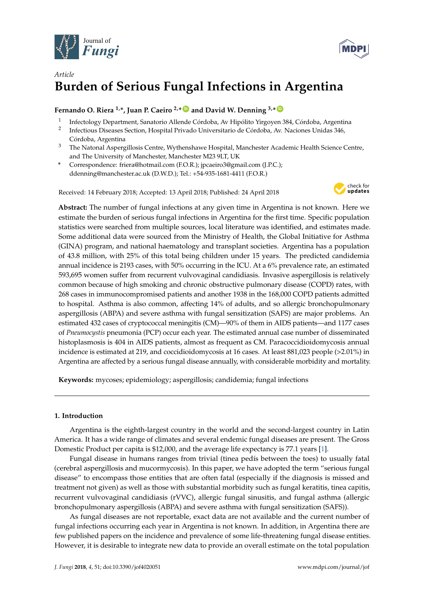



# *Article* **Burden of Serious Fungal Infections in Argentina**

# **Fernando O. Riera <sup>1,\*</sup>, Juan P. Caeiro <sup>2,\*</sup> and David W. Denning <sup>3,\*</sup>**  $\bullet$

- <sup>1</sup> Infectology Department, Sanatorio Allende Córdoba, Av Hipólito Yirgoyen 384, Córdoba, Argentina
- <sup>2</sup> Infectious Diseases Section, Hospital Privado Universitario de Córdoba, Av. Naciones Unidas 346, Córdoba, Argentina
- <sup>3</sup> The Natonal Aspergillosis Centre, Wythenshawe Hospital, Manchester Academic Health Science Centre, and The University of Manchester, Manchester M23 9LT, UK
- **\*** Correspondence: friera@hotmail.com (F.O.R.); jpcaeiro3@gmail.com (J.P.C.); ddenning@manchester.ac.uk (D.W.D.); Tel.: +54-935-1681-4411 (F.O.R.)

Received: 14 February 2018; Accepted: 13 April 2018; Published: 24 April 2018



**Abstract:** The number of fungal infections at any given time in Argentina is not known. Here we estimate the burden of serious fungal infections in Argentina for the first time. Specific population statistics were searched from multiple sources, local literature was identified, and estimates made. Some additional data were sourced from the Ministry of Health, the Global Initiative for Asthma (GINA) program, and national haematology and transplant societies. Argentina has a population of 43.8 million, with 25% of this total being children under 15 years. The predicted candidemia annual incidence is 2193 cases, with 50% occurring in the ICU. At a 6% prevalence rate, an estimated 593,695 women suffer from recurrent vulvovaginal candidiasis. Invasive aspergillosis is relatively common because of high smoking and chronic obstructive pulmonary disease (COPD) rates, with 268 cases in immunocompromised patients and another 1938 in the 168,000 COPD patients admitted to hospital. Asthma is also common, affecting 14% of adults, and so allergic bronchopulmonary aspergillosis (ABPA) and severe asthma with fungal sensitization (SAFS) are major problems. An estimated 432 cases of cryptococcal meningitis (CM)—90% of them in AIDS patients—and 1177 cases of *Pneumocystis* pneumonia (PCP) occur each year. The estimated annual case number of disseminated histoplasmosis is 404 in AIDS patients, almost as frequent as CM. Paracoccidioidomycosis annual incidence is estimated at 219, and coccidioidomycosis at 16 cases. At least 881,023 people (>2.01%) in Argentina are affected by a serious fungal disease annually, with considerable morbidity and mortality.

**Keywords:** mycoses; epidemiology; aspergillosis; candidemia; fungal infections

### **1. Introduction**

Argentina is the eighth-largest country in the world and the second-largest country in Latin America. It has a wide range of climates and several endemic fungal diseases are present. The Gross Domestic Product per capita is \$12,000, and the average life expectancy is 77.1 years [1].

Fungal disease in humans ranges from trivial (tinea pedís between the toes) to usually fatal (cerebral aspergillosis and mucormycosis). In this paper, we have adopted the term "serious fungal disease" to encompass those entities that are often fatal (especially if the diagnosis is missed and treatment not given) as well as those with substantial morbidity such as fungal keratitis, tinea capitis, recurrent vulvovaginal candidiasis (rVVC), allergic fungal sinusitis, and fungal asthma (allergic bronchopulmonary aspergillosis (ABPA) and severe asthma with fungal sensitization (SAFS)).

As fungal diseases are not reportable, exact data are not available and the current number of fungal infections occurring each year in Argentina is not known. In addition, in Argentina there are few published papers on the incidence and prevalence of some life-threatening fungal disease entities. However, it is desirable to integrate new data to provide an overall estimate on the total population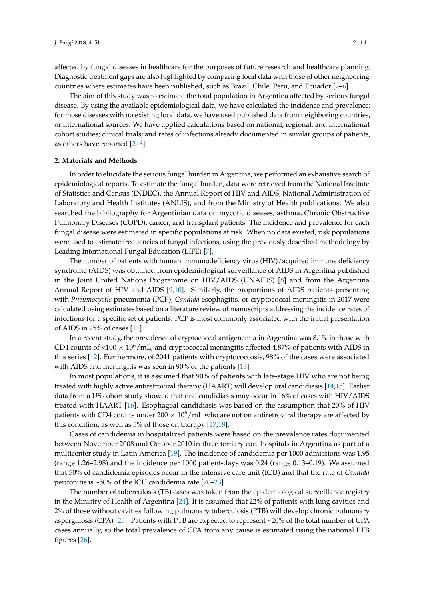affected by fungal diseases in healthcare for the purposes of future research and healthcare planning. Diagnostic treatment gaps are also highlighted by comparing local data with those of other neighboring countries where estimates have been published, such as Brazil, Chile, Peru, and Ecuador [2–6].

The aim of this study was to estimate the total population in Argentina affected by serious fungal disease. By using the available epidemiological data, we have calculated the incidence and prevalence; for those diseases with no existing local data, we have used published data from neighboring countries, or international sources. We have applied calculations based on national, regional, and international cohort studies; clinical trials; and rates of infections already documented in similar groups of patients, as others have reported [2–6].

#### **2. Materials and Methods**

In order to elucidate the serious fungal burden in Argentina, we performed an exhaustive search of epidemiological reports. To estimate the fungal burden, data were retrieved from the National Institute of Statistics and Census (INDEC), the Annual Report of HIV and AIDS, National Administration of Laboratory and Health Institutes (ANLIS), and from the Ministry of Health publications. We also searched the bibliography for Argentinian data on mycotic diseases, asthma, Chronic Obstructive Pulmonary Diseases (COPD), cancer, and transplant patients. The incidence and prevalence for each fungal disease were estimated in specific populations at risk. When no data existed, risk populations were used to estimate frequencies of fungal infections, using the previously described methodology by Leading International Fungal Education (LIFE) [7].

The number of patients with human immunodeficiency virus (HIV)/acquired immune deficiency syndrome (AIDS) was obtained from epidemiological surveillance of AIDS in Argentina published in the Joint United Nations Programme on HIV/AIDS (UNAIDS) [8] and from the Argentina Annual Report of HIV and AIDS [9,10]. Similarly, the proportions of AIDS patients presenting with *Pneumocystis* pneumonia (PCP), *Candida* esophagitis, or cryptococcal meningitis in 2017 were calculated using estimates based on a literature review of manuscripts addressing the incidence rates of infections for a specific set of patients. PCP is most commonly associated with the initial presentation of AIDS in 25% of cases [11].

In a recent study, the prevalence of cryptococcal antigenemia in Argentina was 8.1% in those with CD4 counts of  $\langle 100 \times 10^6/\text{mL}$ , and cryptococcal meningitis affected 4.87% of patients with AIDS in this series [12]. Furthermore, of 2041 patients with cryptococcosis, 98% of the cases were associated with AIDS and meningitis was seen in 90% of the patients [13].

In most populations, it is assumed that 90% of patients with late-stage HIV who are not being treated with highly active antiretroviral therapy (HAART) will develop oral candidiasis [14,15]. Earlier data from a US cohort study showed that oral candidiasis may occur in 16% of cases with HIV/AIDS treated with HAART [16]. Esophageal candidiasis was based on the assumption that 20% of HIV patients with CD4 counts under  $200 \times 10^6$  /mL who are not on antiretroviral therapy are affected by this condition, as well as 5% of those on therapy [17,18].

Cases of candidemia in hospitalized patients were based on the prevalence rates documented between November 2008 and October 2010 in three tertiary care hospitals in Argentina as part of a multicenter study in Latin America [19]. The incidence of candidemia per 1000 admissions was 1.95 (range 1.26–2.98) and the incidence per 1000 patient-days was 0.24 (range 0.13–0.19). We assumed that 50% of candidemia episodes occur in the intensive care unit (ICU) and that the rate of *Candida* peritonitis is ~50% of the ICU candidemia rate [20–23].

The number of tuberculosis (TB) cases was taken from the epidemiological surveillance registry in the Ministry of Health of Argentina [24]. It is assumed that 22% of patients with lung cavities and 2% of those without cavities following pulmonary tuberculosis (PTB) will develop chronic pulmonary aspergillosis (CPA) [25]. Patients with PTB are expected to represent ~20% of the total number of CPA cases annually, so the total prevalence of CPA from any cause is estimated using the national PTB figures [26].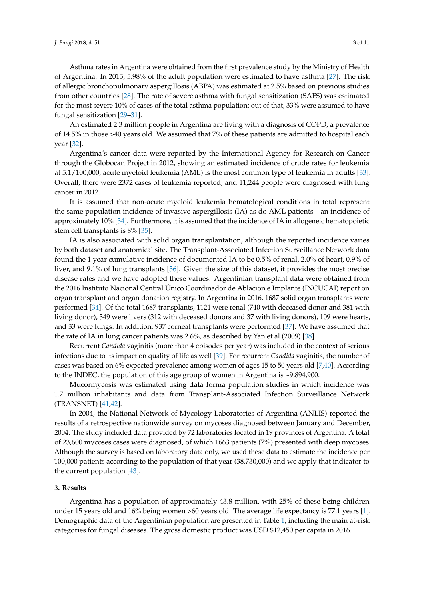Asthma rates in Argentina were obtained from the first prevalence study by the Ministry of Health of Argentina. In 2015, 5.98% of the adult population were estimated to have asthma [27]. The risk of allergic bronchopulmonary aspergillosis (ABPA) was estimated at 2.5% based on previous studies from other countries [28]. The rate of severe asthma with fungal sensitization (SAFS) was estimated for the most severe 10% of cases of the total asthma population; out of that, 33% were assumed to have fungal sensitization [29–31].

An estimated 2.3 million people in Argentina are living with a diagnosis of COPD, a prevalence of 14.5% in those >40 years old. We assumed that 7% of these patients are admitted to hospital each year [32].

Argentina's cancer data were reported by the International Agency for Research on Cancer through the Globocan Project in 2012, showing an estimated incidence of crude rates for leukemia at 5.1/100,000; acute myeloid leukemia (AML) is the most common type of leukemia in adults [33]. Overall, there were 2372 cases of leukemia reported, and 11,244 people were diagnosed with lung cancer in 2012.

It is assumed that non-acute myeloid leukemia hematological conditions in total represent the same population incidence of invasive aspergillosis (IA) as do AML patients—an incidence of approximately 10% [34]. Furthermore, it is assumed that the incidence of IA in allogeneic hematopoietic stem cell transplants is 8% [35].

IA is also associated with solid organ transplantation, although the reported incidence varies by both dataset and anatomical site. The Transplant-Associated Infection Surveillance Network data found the 1 year cumulative incidence of documented IA to be 0.5% of renal, 2.0% of heart, 0.9% of liver, and 9.1% of lung transplants [36]. Given the size of this dataset, it provides the most precise disease rates and we have adopted these values. Argentinian transplant data were obtained from the 2016 Instituto Nacional Central Único Coordinador de Ablación e Implante (INCUCAI) report on organ transplant and organ donation registry. In Argentina in 2016, 1687 solid organ transplants were performed [34]. Of the total 1687 transplants, 1121 were renal (740 with deceased donor and 381 with living donor), 349 were livers (312 with deceased donors and 37 with living donors), 109 were hearts, and 33 were lungs. In addition, 937 corneal transplants were performed [37]. We have assumed that the rate of IA in lung cancer patients was 2.6%, as described by Yan et al (2009) [38].

Recurrent *Candida* vaginitis (more than 4 episodes per year) was included in the context of serious infections due to its impact on quality of life as well [39]. For recurrent *Candida* vaginitis, the number of cases was based on 6% expected prevalence among women of ages 15 to 50 years old [7,40]. According to the INDEC, the population of this age group of women in Argentina is ~9,894,900.

Mucormycosis was estimated using data forma population studies in which incidence was 1.7 million inhabitants and data from Transplant-Associated Infection Surveillance Network (TRANSNET) [41,42].

In 2004, the National Network of Mycology Laboratories of Argentina (ANLIS) reported the results of a retrospective nationwide survey on mycoses diagnosed between January and December, 2004. The study included data provided by 72 laboratories located in 19 provinces of Argentina. A total of 23,600 mycoses cases were diagnosed, of which 1663 patients (7%) presented with deep mycoses. Although the survey is based on laboratory data only, we used these data to estimate the incidence per 100,000 patients according to the population of that year (38,730,000) and we apply that indicator to the current population [43].

#### **3. Results**

Argentina has a population of approximately 43.8 million, with 25% of these being children under 15 years old and 16% being women >60 years old. The average life expectancy is 77.1 years [1]. Demographic data of the Argentinian population are presented in Table 1, including the main at-risk categories for fungal diseases. The gross domestic product was USD \$12,450 per capita in 2016.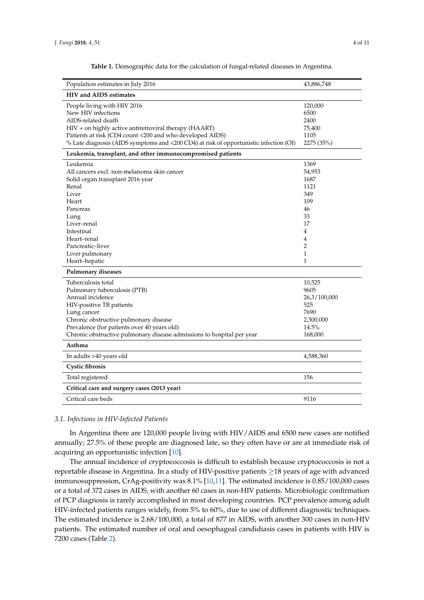| Population estimates in July 2016                                                                                                                                                                                                                                                     | 43,886,748                                                                              |
|---------------------------------------------------------------------------------------------------------------------------------------------------------------------------------------------------------------------------------------------------------------------------------------|-----------------------------------------------------------------------------------------|
| <b>HIV and AIDS estimates</b>                                                                                                                                                                                                                                                         |                                                                                         |
| People living with HIV 2016<br>New HIV infections<br>AIDS-related death<br>HIV + on highly active antiretroviral therapy (HAART)<br>Patients at risk (CD4 count <200 and who developed AIDS)<br>% Late diagnosis (AIDS symptoms and <200 CD4) at risk of opportunistic infection (OI) | 120,000<br>6500<br>2400<br>75,400<br>1105<br>2275 (35%)                                 |
| Leukemia, transplant, and other immunocompromised patients                                                                                                                                                                                                                            |                                                                                         |
| Leukemia<br>All cancers excl. non-melanoma skin cancer<br>Solid organ transplant 2016 year<br>Renal<br>Liver<br>Heart<br>Pancreas<br>Lung<br>Liver-renal<br>Intestinal<br>Heart–renal<br>Pancreatic-liver<br>Liver pulmonary<br>Heart-hepatic                                         | 1369<br>54,953<br>1687<br>1121<br>349<br>109<br>46<br>33<br>17<br>4<br>4<br>2<br>1<br>1 |
| <b>Pulmonary diseases</b>                                                                                                                                                                                                                                                             |                                                                                         |
| Tuberculosis total<br>Pulmonary tuberculosis (PTB)<br>Annual incidence<br>HIV-positive TB patients<br>Lung cancer<br>Chronic obstructive pulmonary disease<br>Prevalence (for patients over 40 years old)<br>Chronic obstructive pulmonary disease admissions to hospital per year    | 10,525<br>9605<br>26,3/100,000<br>525<br>7690<br>2,300,000<br>14.5%<br>168,000          |
| Asthma                                                                                                                                                                                                                                                                                |                                                                                         |
| In adults >40 years old<br>Cystic fibrosis                                                                                                                                                                                                                                            | 4,588,360                                                                               |
| Total registered                                                                                                                                                                                                                                                                      | 156                                                                                     |
| Critical care and surgery cases (2013 year)                                                                                                                                                                                                                                           |                                                                                         |
| Critical care beds                                                                                                                                                                                                                                                                    | 9116                                                                                    |

**Table 1.** Demographic data for the calculation of fungal-related diseases in Argentina.

#### *3.1. Infections in HIV-Infected Patients*

In Argentina there are 120,000 people living with HIV/AIDS and 6500 new cases are notified annually; 27.5% of these people are diagnosed late, so they often have or are at immediate risk of acquiring an opportunistic infection [10].

The annual incidence of cryptococcosis is difficult to establish because cryptococcosis is not a reportable disease in Argentina. In a study of HIV-positive patients  $\geq$  18 years of age with advanced immunosuppression, CrAg-positivity was 8.1% [10,11]. The estimated incidence is 0.85/100,000 cases or a total of 372 cases in AIDS, with another 60 cases in non-HIV patients. Microbiologic confirmation of PCP diagnosis is rarely accomplished in most developing countries. PCP prevalence among adult HIV-infected patients ranges widely, from 5% to 60%, due to use of different diagnostic techniques. The estimated incidence is 2.68/100,000, a total of 877 in AIDS, with another 300 cases in non-HIV patients. The estimated number of oral and oesophageal candidiasis cases in patients with HIV is 7200 cases (Table 2).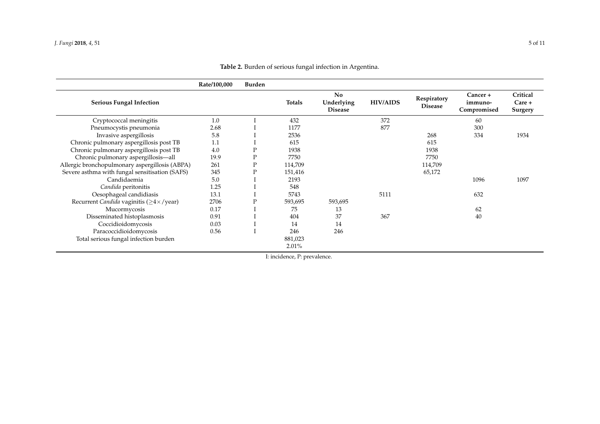|                                                | Rate/100,000 | <b>Burden</b> |                     |                                           |                 |                               |                                    |                               |
|------------------------------------------------|--------------|---------------|---------------------|-------------------------------------------|-----------------|-------------------------------|------------------------------------|-------------------------------|
| <b>Serious Fungal Infection</b>                |              |               | Totals              | <b>No</b><br>Underlying<br><b>Disease</b> | <b>HIV/AIDS</b> | Respiratory<br><b>Disease</b> | Cancer +<br>immuno-<br>Compromised | Critical<br>Care +<br>Surgery |
| Cryptococcal meningitis                        | 1.0          |               | 432                 |                                           | 372             |                               | 60                                 |                               |
| Pneumocystis pneumonia                         | 2.68         |               | 1177                |                                           | 877             |                               | 300                                |                               |
| Invasive aspergillosis                         | 5.8          |               | 2536                |                                           |                 | 268                           | 334                                | 1934                          |
| Chronic pulmonary aspergillosis post TB        | 1.1          |               | 615                 |                                           |                 | 615                           |                                    |                               |
| Chronic pulmonary aspergillosis post TB        | 4.0          | Ρ             | 1938                |                                           |                 | 1938                          |                                    |                               |
| Chronic pulmonary aspergillosis-all            | 19.9         | $\mathbf P$   | 7750                |                                           |                 | 7750                          |                                    |                               |
| Allergic bronchopulmonary aspergillosis (ABPA) | 261          | $\mathbf P$   | 114,709             |                                           |                 | 114,709                       |                                    |                               |
| Severe asthma with fungal sensitisation (SAFS) | 345          | Ρ             | 151,416             |                                           |                 | 65,172                        |                                    |                               |
| Candidaemia                                    | 5.0          |               | 2193                |                                           |                 |                               | 1096                               | 1097                          |
| Candida peritonitis                            | 1.25         |               | 548                 |                                           |                 |                               |                                    |                               |
| Oesophageal candidiasis                        | 13.1         |               | 5743                |                                           | 5111            |                               | 632                                |                               |
| Recurrent Candida vaginitis ( $\geq$ 4×/year)  | 2706         | P             | 593,695             | 593,695                                   |                 |                               |                                    |                               |
| Mucormycosis                                   | 0.17         |               | 75                  | 13                                        |                 |                               | 62                                 |                               |
| Disseminated histoplasmosis                    | 0.91         |               | 404                 | 37                                        | 367             |                               | 40                                 |                               |
| Coccidioidomycosis                             | 0.03         |               | 14                  | 14                                        |                 |                               |                                    |                               |
| Paracoccidioidomycosis                         | 0.56         |               | 246                 | 246                                       |                 |                               |                                    |                               |
| Total serious fungal infection burden          |              |               | 881,023<br>$2.01\%$ |                                           |                 |                               |                                    |                               |
|                                                |              |               |                     |                                           |                 |                               |                                    |                               |

## **Table 2.** Burden of serious fungal infection in Argentina.

I: incidence, P: prevalence.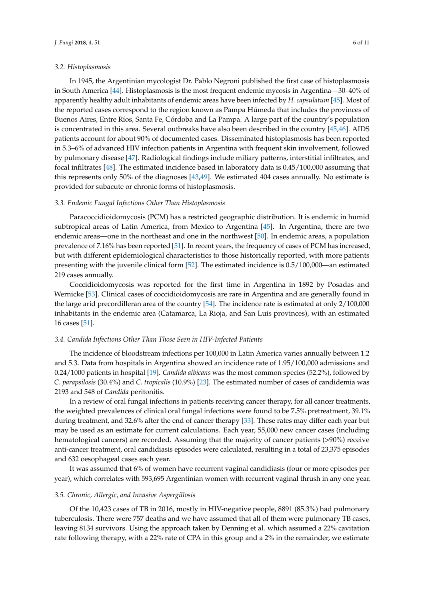#### *3.2. Histoplasmosis*

In 1945, the Argentinian mycologist Dr. Pablo Negroni published the first case of histoplasmosis in South America [44]. Histoplasmosis is the most frequent endemic mycosis in Argentina—30–40% of apparently healthy adult inhabitants of endemic areas have been infected by *H. capsulatum* [45]. Most of the reported cases correspond to the region known as Pampa Húmeda that includes the provinces of Buenos Aires, Entre Ríos, Santa Fe, Córdoba and La Pampa. A large part of the country's population is concentrated in this area. Several outbreaks have also been described in the country [45,46]. AIDS patients account for about 90% of documented cases. Disseminated histoplasmosis has been reported in 5.3–6% of advanced HIV infection patients in Argentina with frequent skin involvement, followed by pulmonary disease [47]. Radiological findings include miliary patterns, interstitial infiltrates, and focal infiltrates [48]. The estimated incidence based in laboratory data is 0.45/100,000 assuming that this represents only 50% of the diagnoses [43,49]. We estimated 404 cases annually. No estimate is provided for subacute or chronic forms of histoplasmosis.

#### *3.3. Endemic Fungal Infections Other Than Histoplasmosis*

Paracoccidioidomycosis (PCM) has a restricted geographic distribution. It is endemic in humid subtropical areas of Latin America, from Mexico to Argentina [45]. In Argentina, there are two endemic areas—one in the northeast and one in the northwest [50]. In endemic areas, a population prevalence of 7.16% has been reported [51]. In recent years, the frequency of cases of PCM has increased, but with different epidemiological characteristics to those historically reported, with more patients presenting with the juvenile clinical form [52]. The estimated incidence is 0.5/100,000—an estimated 219 cases annually.

Coccidioidomycosis was reported for the first time in Argentina in 1892 by Posadas and Wernicke [53]. Clinical cases of coccidioidomycosis are rare in Argentina and are generally found in the large arid precordilleran area of the country [54]. The incidence rate is estimated at only 2/100,000 inhabitants in the endemic area (Catamarca, La Rioja, and San Luis provinces), with an estimated 16 cases [51].

#### *3.4. Candida Infections Other Than Those Seen in HIV-Infected Patients*

The incidence of bloodstream infections per 100,000 in Latin America varies annually between 1.2 and 5.3. Data from hospitals in Argentina showed an incidence rate of 1.95/100,000 admissions and 0.24/1000 patients in hospital [19]. *Candida albicans* was the most common species (52.2%), followed by *C. parapsilosis* (30.4%) and *C. tropicalis* (10.9%) [23]. The estimated number of cases of candidemia was 2193 and 548 of *Candida* peritonitis.

In a review of oral fungal infections in patients receiving cancer therapy, for all cancer treatments, the weighted prevalences of clinical oral fungal infections were found to be 7.5% pretreatment, 39.1% during treatment, and 32.6% after the end of cancer therapy [33]. These rates may differ each year but may be used as an estimate for current calculations. Each year, 55,000 new cancer cases (including hematological cancers) are recorded. Assuming that the majority of cancer patients (>90%) receive anti-cancer treatment, oral candidiasis episodes were calculated, resulting in a total of 23,375 episodes and 632 oesophageal cases each year.

It was assumed that 6% of women have recurrent vaginal candidiasis (four or more episodes per year), which correlates with 593,695 Argentinian women with recurrent vaginal thrush in any one year.

#### *3.5. Chronic, Allergic, and Invasive Aspergillosis*

Of the 10,423 cases of TB in 2016, mostly in HIV-negative people, 8891 (85.3%) had pulmonary tuberculosis. There were 757 deaths and we have assumed that all of them were pulmonary TB cases, leaving 8134 survivors. Using the approach taken by Denning et al. which assumed a 22% cavitation rate following therapy, with a 22% rate of CPA in this group and a 2% in the remainder, we estimate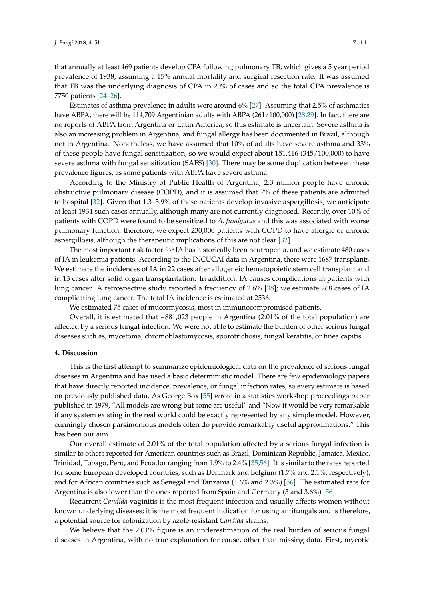that annually at least 469 patients develop CPA following pulmonary TB, which gives a 5 year period prevalence of 1938, assuming a 15% annual mortality and surgical resection rate. It was assumed that TB was the underlying diagnosis of CPA in 20% of cases and so the total CPA prevalence is 7750 patients [24–26].

Estimates of asthma prevalence in adults were around 6% [27]. Assuming that 2.5% of asthmatics have ABPA, there will be 114,709 Argentinian adults with ABPA (261/100,000) [28,29]. In fact, there are no reports of ABPA from Argentina or Latin America, so this estimate is uncertain. Severe asthma is also an increasing problem in Argentina, and fungal allergy has been documented in Brazil, although not in Argentina. Nonetheless, we have assumed that 10% of adults have severe asthma and 33% of these people have fungal sensitization, so we would expect about 151,416 (345/100,000) to have severe asthma with fungal sensitization (SAFS) [30]. There may be some duplication between these prevalence figures, as some patients with ABPA have severe asthma.

According to the Ministry of Public Health of Argentina, 2.3 million people have chronic obstructive pulmonary disease (COPD), and it is assumed that 7% of these patients are admitted to hospital [32]. Given that 1.3–3.9% of these patients develop invasive aspergillosis, we anticipate at least 1934 such cases annually, although many are not currently diagnosed. Recently, over 10% of patients with COPD were found to be sensitized to *A. fumigatus* and this was associated with worse pulmonary function; therefore, we expect 230,000 patients with COPD to have allergic or chronic aspergillosis, although the therapeutic implications of this are not clear [32].

The most important risk factor for IA has historically been neutropenia, and we estimate 480 cases of IA in leukemia patients. According to the INCUCAI data in Argentina, there were 1687 transplants. We estimate the incidences of IA in 22 cases after allogeneic hematopoietic stem cell transplant and in 13 cases after solid organ transplantation. In addition, IA causes complications in patients with lung cancer. A retrospective study reported a frequency of 2.6% [38]; we estimate 268 cases of IA complicating lung cancer. The total IA incidence is estimated at 2536.

We estimated 75 cases of mucormycosis, most in immunocompromised patients.

Overall, it is estimated that  $\sim 881,023$  people in Argentina (2.01% of the total population) are affected by a serious fungal infection. We were not able to estimate the burden of other serious fungal diseases such as, mycetoma, chromoblastomycosis, sporotrichosis, fungal keratitis, or tinea capitis.

#### **4. Discussion**

This is the first attempt to summarize epidemiological data on the prevalence of serious fungal diseases in Argentina and has used a basic deterministic model. There are few epidemiology papers that have directly reported incidence, prevalence, or fungal infection rates, so every estimate is based on previously published data. As George Box [55] wrote in a statistics workshop proceedings paper published in 1979, "All models are wrong but some are useful" and "Now it would be very remarkable if any system existing in the real world could be exactly represented by any simple model. However, cunningly chosen parsimonious models often do provide remarkably useful approximations." This has been our aim.

Our overall estimate of 2.01% of the total population affected by a serious fungal infection is similar to others reported for American countries such as Brazil, Dominican Republic, Jamaica, Mexico, Trinidad, Tobago, Peru, and Ecuador ranging from 1.9% to 2.4% [35,56]. It is similar to the rates reported for some European developed countries, such as Denmark and Belgium (1.7% and 2.1%, respectively), and for African countries such as Senegal and Tanzania (1.6% and 2.3%) [56]. The estimated rate for Argentina is also lower than the ones reported from Spain and Germany (3 and 3.6%) [56].

Recurrent *Candida* vaginitis is the most frequent infection and usually affects women without known underlying diseases; it is the most frequent indication for using antifungals and is therefore, a potential source for colonization by azole-resistant *Candida* strains.

We believe that the 2.01% figure is an underestimation of the real burden of serious fungal diseases in Argentina, with no true explanation for cause, other than missing data. First, mycotic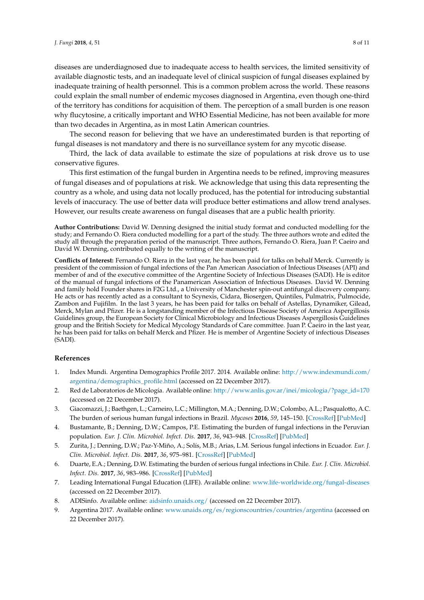diseases are underdiagnosed due to inadequate access to health services, the limited sensitivity of available diagnostic tests, and an inadequate level of clinical suspicion of fungal diseases explained by inadequate training of health personnel. This is a common problem across the world. These reasons could explain the small number of endemic mycoses diagnosed in Argentina, even though one-third of the territory has conditions for acquisition of them. The perception of a small burden is one reason why flucytosine, a critically important and WHO Essential Medicine, has not been available for more than two decades in Argentina, as in most Latin American countries.

The second reason for believing that we have an underestimated burden is that reporting of fungal diseases is not mandatory and there is no surveillance system for any mycotic disease.

Third, the lack of data available to estimate the size of populations at risk drove us to use conservative figures.

This first estimation of the fungal burden in Argentina needs to be refined, improving measures of fungal diseases and of populations at risk. We acknowledge that using this data representing the country as a whole, and using data not locally produced, has the potential for introducing substantial levels of inaccuracy. The use of better data will produce better estimations and allow trend analyses. However, our results create awareness on fungal diseases that are a public health priority.

**Author Contributions:** David W. Denning designed the initial study format and conducted modelling for the study; and Fernando O. Riera conducted modelling for a part of the study. The three authors wrote and edited the study all through the preparation period of the manuscript. Three authors, Fernando O. Riera, Juan P. Caeiro and David W. Denning, contributed equally to the writing of the manuscript.

**Conflicts of Interest:** Fernando O. Riera in the last year, he has been paid for talks on behalf Merck. Currently is president of the commission of fungal infections of the Pan American Association of Infectious Diseases (API) and member of and of the executive committee of the Argentine Society of Infectious Diseases (SADI). He is editor of the manual of fungal infections of the Panamerican Association of Infectious Diseases. David W. Denning and family hold Founder shares in F2G Ltd., a University of Manchester spin-out antifungal discovery company. He acts or has recently acted as a consultant to Scynexis, Cidara, Biosergen, Quintiles, Pulmatrix, Pulmocide, Zambon and Fujifilm. In the last 3 years, he has been paid for talks on behalf of Astellas, Dynamiker, Gilead, Merck, Mylan and Pfizer. He is a longstanding member of the Infectious Disease Society of America Aspergillosis Guidelines group, the European Society for Clinical Microbiology and Infectious Diseases Aspergillosis Guidelines group and the British Society for Medical Mycology Standards of Care committee. Juan P. Caeiro in the last year, he has been paid for talks on behalf Merck and Pfizer. He is member of Argentine Society of infectious Diseases (SADI).

#### **References**

- 1. Index Mundi. Argentina Demographics Profile 2017. 2014. Available online: http://www.indexmundi.com/ argentina/demographics\_profile.html (accessed on 22 December 2017).
- 2. Red de Laboratorios de Micología. Available online: http://www.anlis.gov.ar/inei/micologia/?page\_id=170 (accessed on 22 December 2017).
- 3. Giacomazzi, J.; Baethgen, L.; Carneiro, L.C.; Millington, M.A.; Denning, D.W.; Colombo, A.L.; Pasqualotto, A.C. The burden of serious human fungal infections in Brazil. *Mycoses* **2016**, *59*, 145–150. [CrossRef] [PubMed]
- 4. Bustamante, B.; Denning, D.W.; Campos, P.E. Estimating the burden of fungal infections in the Peruvian population. *Eur. J. Clin. Microbiol. Infect. Dis.* **2017**, *36*, 943–948. [CrossRef] [PubMed]
- 5. Zurita, J.; Denning, D.W.; Paz-Y-Miño, A.; Solís, M.B.; Arias, L.M. Serious fungal infections in Ecuador. *Eur. J. Clin. Microbiol. Infect. Dis.* **2017**, *36*, 975–981. [CrossRef] [PubMed]
- 6. Duarte, E.A.; Denning, D.W. Estimating the burden of serious fungal infections in Chile. *Eur. J. Clin. Microbiol. Infect. Dis.* **2017**, *36*, 983–986. [CrossRef] [PubMed]
- 7. Leading International Fungal Education (LIFE). Available online: www.life-worldwide.org/fungal-diseases (accessed on 22 December 2017).
- 8. ADISinfo. Available online: aidsinfo.unaids.org/ (accessed on 22 December 2017).
- 9. Argentina 2017. Available online: www.unaids.org/es/regionscountries/countries/argentina (accessed on 22 December 2017).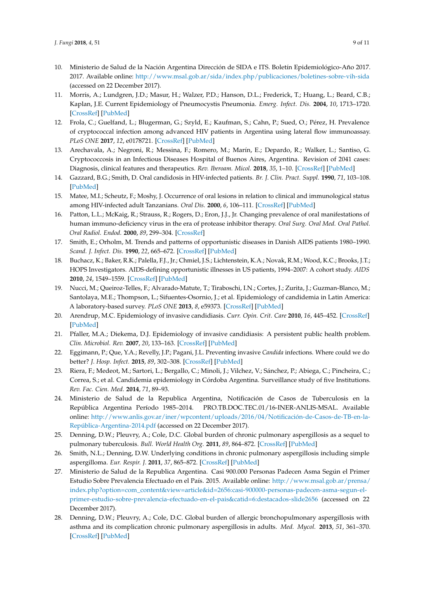- 10. Ministerio de Salud de la Nación Argentina Dirección de SIDA e ITS. Boletín Epidemiológico-Año 2017. 2017. Available online: http://www.msal.gob.ar/sida/index.php/publicaciones/boletines-sobre-vih-sida (accessed on 22 December 2017).
- 11. Morris, A.; Lundgren, J.D.; Masur, H.; Walzer, P.D.; Hanson, D.L.; Frederick, T.; Huang, L.; Beard, C.B.; Kaplan, J.E. Current Epidemiology of Pneumocystis Pneumonia. *Emerg. Infect. Dis.* **2004**, *10*, 1713–1720. [CrossRef] [PubMed]
- 12. Frola, C.; Guelfand, L.; Blugerman, G.; Szyld, E.; Kaufman, S.; Cahn, P.; Sued, O.; Pérez, H. Prevalence of cryptococcal infection among advanced HIV patients in Argentina using lateral flow immunoassay. *PLoS ONE* **2017**, *12*, e0178721. [CrossRef] [PubMed]
- 13. Arechavala, A.; Negroni, R.; Messina, F.; Romero, M.; Marín, E.; Depardo, R.; Walker, L.; Santiso, G. Cryptococcosis in an Infectious Diseases Hospital of Buenos Aires, Argentina. Revision of 2041 cases: Diagnosis, clinical features and therapeutics. *Rev. Iberoam. Micol.* **2018**, *35*, 1–10. [CrossRef] [PubMed]
- 14. Gazzard, B.G.; Smith, D. Oral candidosis in HIV-infected patients. *Br. J. Clin. Pract. Suppl.* **1990**, *71*, 103–108. [PubMed]
- 15. Matee, M.I.; Scheutz, F.; Moshy, J. Occurrence of oral lesions in relation to clinical and immunological status among HIV-infected adult Tanzanians. *Oral Dis.* **2000**, *6*, 106–111. [CrossRef] [PubMed]
- 16. Patton, L.L.; McKaig, R.; Strauss, R.; Rogers, D.; Eron, J.J., Jr. Changing prevalence of oral manifestations of human immuno-deficiency virus in the era of protease inhibitor therapy. *Oral Surg. Oral Med. Oral Pathol. Oral Radiol. Endod.* **2000**, *89*, 299–304. [CrossRef]
- 17. Smith, E.; Orholm, M. Trends and patterns of opportunistic diseases in Danish AIDS patients 1980–1990. *Scand. J. Infect. Dis.* **1990**, *22*, 665–672. [CrossRef] [PubMed]
- 18. Buchacz, K.; Baker, R.K.; Palella, F.J., Jr.; Chmiel, J.S.; Lichtenstein, K.A.; Novak, R.M.; Wood, K.C.; Brooks, J.T.; HOPS Investigators. AIDS-defining opportunistic illnesses in US patients, 1994–2007: A cohort study. *AIDS* **2010**, *24*, 1549–1559. [CrossRef] [PubMed]
- 19. Nucci, M.; Queiroz-Telles, F.; Alvarado-Matute, T.; Tiraboschi, I.N.; Cortes, J.; Zurita, J.; Guzman-Blanco, M.; Santolaya, M.E.; Thompson, L.; Sifuentes-Osornio, J.; et al. Epidemiology of candidemia in Latin America: A laboratory-based survey. *PLoS ONE* **2013**, *8*, e59373. [CrossRef] [PubMed]
- 20. Arendrup, M.C. Epidemiology of invasive candidiasis. *Curr. Opin. Crit. Care* **2010**, *16*, 445–452. [CrossRef] [PubMed]
- 21. Pfaller, M.A.; Diekema, D.J. Epidemiology of invasive candidiasis: A persistent public health problem. *Clin. Microbiol. Rev.* **2007**, *20*, 133–163. [CrossRef] [PubMed]
- 22. Eggimann, P.; Que, Y.A.; Revelly, J.P.; Pagani, J.L. Preventing invasive *Candida* infections. Where could we do better? *J. Hosp. Infect.* **2015**, *89*, 302–308. [CrossRef] [PubMed]
- 23. Riera, F.; Medeot, M.; Sartori, L.; Bergallo, C.; Minoli, J.; Vilchez, V.; Sánchez, P.; Abiega, C.; Pincheira, C.; Correa, S.; et al. Candidemia epidemiology in Córdoba Argentina. Surveillance study of five Institutions. *Rev. Fac. Cien. Med.* **2014**, *71*, 89–93.
- 24. Ministerio de Salud de la Republica Argentina, Notificación de Casos de Tuberculosis en la República Argentina Período 1985–2014. PRO.TB.DOC.TEC.01/16-INER-ANLIS-MSAL. Available online: http://www.anlis.gov.ar/iner/wpcontent/uploads/2016/04/Notificación-de-Casos-de-TB-en-la-República-Argentina-2014.pdf (accessed on 22 December 2017).
- 25. Denning, D.W.; Pleuvry, A.; Cole, D.C. Global burden of chronic pulmonary aspergillosis as a sequel to pulmonary tuberculosis. *Bull. World Health Org.* **2011**, *89*, 864–872. [CrossRef] [PubMed]
- 26. Smith, N.L.; Denning, D.W. Underlying conditions in chronic pulmonary aspergillosis including simple aspergilloma. *Eur. Respir. J.* **2011**, *37*, 865–872. [CrossRef] [PubMed]
- 27. Ministerio de Salud de la Republica Argentina. Casi 900.000 Personas Padecen Asma Según el Primer Estudio Sobre Prevalencia Efectuado en el País. 2015. Available online: http://www.msal.gob.ar/prensa/ index.php?option=com\_content&view=article&id=2656:casi-900000-personas-padecen-asma-segun-elprimer-estudio-sobre-prevalencia-efectuado-en-el-pais&catid=6:destacados-slide2656 (accessed on 22 December 2017).
- 28. Denning, D.W.; Pleuvry, A.; Cole, D.C. Global burden of allergic bronchopulmonary aspergillosis with asthma and its complication chronic pulmonary aspergillosis in adults. *Med. Mycol.* **2013**, *51*, 361–370. [CrossRef] [PubMed]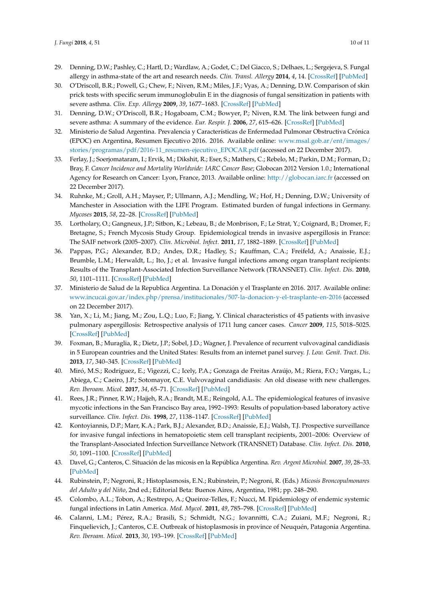- 29. Denning, D.W.; Pashley, C.; Hartl, D.; Wardlaw, A.; Godet, C.; Del Giacco, S.; Delhaes, L.; Sergejeva, S. Fungal allergy in asthma-state of the art and research needs. *Clin. Transl. Allergy* **2014**, *4*, 14. [CrossRef] [PubMed]
- 30. O'Driscoll, B.R.; Powell, G.; Chew, F.; Niven, R.M.; Miles, J.F.; Vyas, A.; Denning, D.W. Comparison of skin prick tests with specific serum immunoglobulin E in the diagnosis of fungal sensitization in patients with severe asthma. *Clin. Exp. Allergy* **2009**, *39*, 1677–1683. [CrossRef] [PubMed]
- 31. Denning, D.W.; O'Driscoll, B.R.; Hogaboam, C.M.; Bowyer, P.; Niven, R.M. The link between fungi and severe asthma: A summary of the evidence. *Eur. Respir. J.* **2006**, *27*, 615–626. [CrossRef] [PubMed]
- 32. Ministerio de Salud Argentina. Prevalencia y Características de Enfermedad Pulmonar Obstructiva Crónica (EPOC) en Argentina, Resumen Ejecutivo 2016. 2016. Available online: www.msal.gob.ar/ent/images/ stories/programas/pdf/2016-11\_resumen-ejecutivo\_EPOCAR.pdf (accessed on 22 December 2017).
- 33. Ferlay, J.; Soerjomataram, I.; Ervik, M.; Dikshit, R.; Eser, S.; Mathers, C.; Rebelo, M.; Parkin, D.M.; Forman, D.; Bray, F. *Cancer Incidence and Mortality Worldwide: IARC Cancer Base*; Globocan 2012 Version 1.0.; International Agency for Research on Cancer: Lyon, France, 2013. Available online: http://globocan.iarc.fr (accessed on 22 December 2017).
- 34. Ruhnke, M.; Groll, A.H.; Mayser, P.; Ullmann, A.J.; Mendling, W.; Hof, H.; Denning, D.W.; University of Manchester in Association with the LIFE Program. Estimated burden of fungal infections in Germany. *Mycoses* **2015**, *58*, 22–28. [CrossRef] [PubMed]
- 35. Lortholary, O.; Gangneux, J.P.; Sitbon, K.; Lebeau, B.; de Monbrison, F.; Le Strat, Y.; Coignard, B.; Dromer, F.; Bretagne, S.; French Mycosis Study Group. Epidemiological trends in invasive aspergillosis in France: The SAIF network (2005–2007). *Clin. Microbiol. Infect.* **2011**, *17*, 1882–1889. [CrossRef] [PubMed]
- 36. Pappas, P.G.; Alexander, B.D.; Andes, D.R.; Hadley, S.; Kauffman, C.A.; Freifeld, A.; Anaissie, E.J.; Brumble, L.M.; Herwaldt, L.; Ito, J.; et al. Invasive fungal infections among organ transplant recipients: Results of the Transplant-Associated Infection Surveillance Network (TRANSNET). *Clin. Infect. Dis.* **2010**, *50*, 1101–1111. [CrossRef] [PubMed]
- 37. Ministerio de Salud de la Republica Argentina. La Donación y el Trasplante en 2016. 2017. Available online: www.incucai.gov.ar/index.php/prensa/institucionales/507-la-donacion-y-el-trasplante-en-2016 (accessed on 22 December 2017).
- 38. Yan, X.; Li, M.; Jiang, M.; Zou, L.Q.; Luo, F.; Jiang, Y. Clinical characteristics of 45 patients with invasive pulmonary aspergillosis: Retrospective analysis of 1711 lung cancer cases. *Cancer* **2009**, *115*, 5018–5025. [CrossRef] [PubMed]
- 39. Foxman, B.; Muraglia, R.; Dietz, J.P.; Sobel, J.D.; Wagner, J. Prevalence of recurrent vulvovaginal candidiasis in 5 European countries and the United States: Results from an internet panel survey. *J. Low. Genit. Tract. Dis.* **2013**, *17*, 340–345. [CrossRef] [PubMed]
- 40. Miró, M.S.; Rodríguez, E.; Vigezzi, C.; Icely, P.A.; Gonzaga de Freitas Araújo, M.; Riera, F.O.; Vargas, L.; Abiega, C.; Caeiro, J.P.; Sotomayor, C.E. Vulvovaginal candidiasis: An old disease with new challenges. *Rev. Iberoam. Micol.* **2017**, *34*, 65–71. [CrossRef] [PubMed]
- 41. Rees, J.R.; Pinner, R.W.; Hajjeh, R.A.; Brandt, M.E.; Reingold, A.L. The epidemiological features of invasive mycotic infections in the San Francisco Bay area, 1992–1993: Results of population-based laboratory active surveillance. *Clin. Infect. Dis.* **1998**, *27*, 1138–1147. [CrossRef] [PubMed]
- 42. Kontoyiannis, D.P.; Marr, K.A.; Park, B.J.; Alexander, B.D.; Anaissie, E.J.; Walsh, T.J. Prospective surveillance for invasive fungal infections in hematopoietic stem cell transplant recipients, 2001–2006: Overview of the Transplant-Associated Infection Surveillance Network (TRANSNET) Database. *Clin. Infect. Dis.* **2010**, *50*, 1091–1100. [CrossRef] [PubMed]
- 43. Davel, G.; Canteros, C. Situación de las micosis en la República Argentina. *Rev. Argent Microbiol.* **2007**, *39*, 28–33. [PubMed]
- 44. Rubinstein, P.; Negroni, R.; Histoplasmosis, E.N.; Rubinstein, P.; Negroni, R. (Eds.) *Micosis Broncopulmonares del Adulto y del Niño*, 2nd ed.; Editorial Beta: Buenos Aires, Argentina, 1981; pp. 248–290.
- 45. Colombo, A.L.; Tobon, A.; Restrepo, A.; Queiroz-Telles, F.; Nucci, M. Epidemiology of endemic systemic fungal infections in Latin America. *Med. Mycol.* **2011**, *49*, 785–798. [CrossRef] [PubMed]
- 46. Calanni, L.M.; Pérez, R.A.; Brasili, S.; Schmidt, N.G.; Iovannitti, C.A.; Zuiani, M.F.; Negroni, R.; Finquelievich, J.; Canteros, C.E. Outbreak of histoplasmosis in province of Neuquén, Patagonia Argentina. *Rev. Iberoam. Micol.* **2013**, *30*, 193–199. [CrossRef] [PubMed]